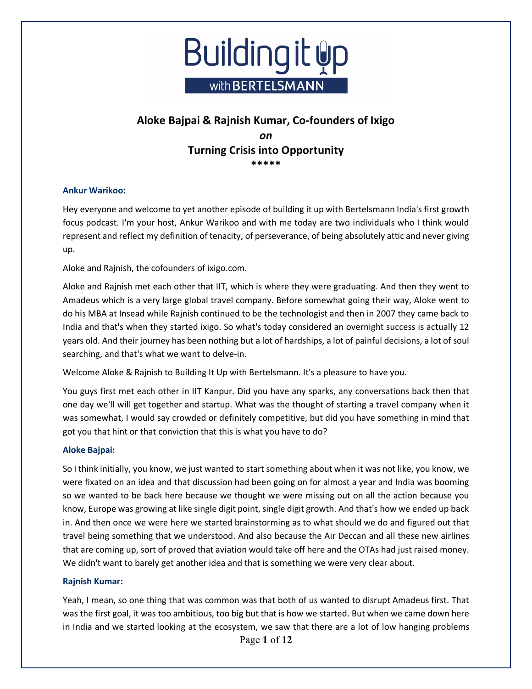

### **Ankur Warikoo:**

Hey everyone and welcome to yet another episode of building it up with Bertelsmann India's first growth focus podcast. I'm your host, Ankur Warikoo and with me today are two individuals who I think would represent and reflect my definition of tenacity, of perseverance, of being absolutely attic and never giving up.

Aloke and Rajnish, the cofounders of ixigo.com.

Aloke and Rajnish met each other that IIT, which is where they were graduating. And then they went to Amadeus which is a very large global travel company. Before somewhat going their way, Aloke went to do his MBA at Insead while Rajnish continued to be the technologist and then in 2007 they came back to India and that's when they started ixigo. So what's today considered an overnight success is actually 12 years old. And their journey has been nothing but a lot of hardships, a lot of painful decisions, a lot of soul searching, and that's what we want to delve-in.

Welcome Aloke & Rajnish to Building It Up with Bertelsmann. It's a pleasure to have you.

You guys first met each other in IIT Kanpur. Did you have any sparks, any conversations back then that one day we'll will get together and startup. What was the thought of starting a travel company when it was somewhat, I would say crowded or definitely competitive, but did you have something in mind that got you that hint or that conviction that this is what you have to do?

### **Aloke Bajpai:**

So I think initially, you know, we just wanted to start something about when it was not like, you know, we were fixated on an idea and that discussion had been going on for almost a year and India was booming so we wanted to be back here because we thought we were missing out on all the action because you know, Europe was growing at like single digit point, single digit growth. And that's how we ended up back in. And then once we were here we started brainstorming as to what should we do and figured out that travel being something that we understood. And also because the Air Deccan and all these new airlines that are coming up, sort of proved that aviation would take off here and the OTAs had just raised money. We didn't want to barely get another idea and that is something we were very clear about.

### **Rajnish Kumar:**

Page **1** of **12** Yeah, I mean, so one thing that was common was that both of us wanted to disrupt Amadeus first. That was the first goal, it was too ambitious, too big but that is how we started. But when we came down here in India and we started looking at the ecosystem, we saw that there are a lot of low hanging problems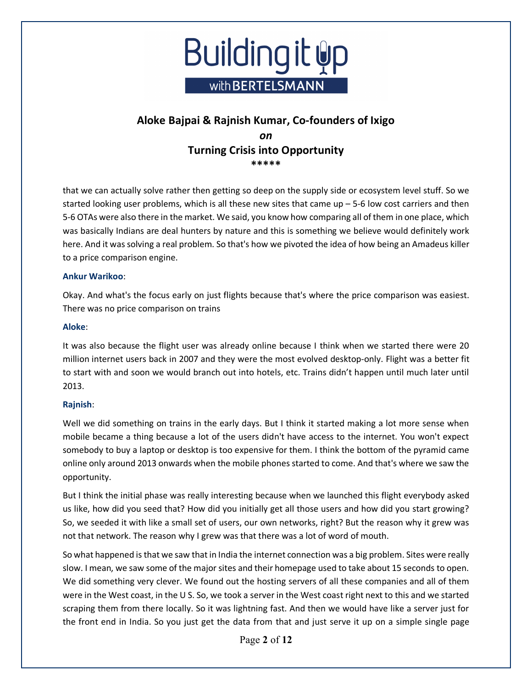

that we can actually solve rather then getting so deep on the supply side or ecosystem level stuff. So we started looking user problems, which is all these new sites that came  $up - 5-6$  low cost carriers and then 5-6 OTAs were also there in the market. We said, you know how comparing all of them in one place, which was basically Indians are deal hunters by nature and this is something we believe would definitely work here. And it was solving a real problem. So that's how we pivoted the idea of how being an Amadeus killer to a price comparison engine.

#### **Ankur Warikoo**:

Okay. And what's the focus early on just flights because that's where the price comparison was easiest. There was no price comparison on trains

#### **Aloke**:

It was also because the flight user was already online because I think when we started there were 20 million internet users back in 2007 and they were the most evolved desktop-only. Flight was a better fit to start with and soon we would branch out into hotels, etc. Trains didn't happen until much later until 2013.

### **Rajnish**:

Well we did something on trains in the early days. But I think it started making a lot more sense when mobile became a thing because a lot of the users didn't have access to the internet. You won't expect somebody to buy a laptop or desktop is too expensive for them. I think the bottom of the pyramid came online only around 2013 onwards when the mobile phones started to come. And that's where we saw the opportunity.

But I think the initial phase was really interesting because when we launched this flight everybody asked us like, how did you seed that? How did you initially get all those users and how did you start growing? So, we seeded it with like a small set of users, our own networks, right? But the reason why it grew was not that network. The reason why I grew was that there was a lot of word of mouth.

So what happened is that we saw that in India the internet connection was a big problem. Sites were really slow. I mean, we saw some of the major sites and their homepage used to take about 15 seconds to open. We did something very clever. We found out the hosting servers of all these companies and all of them were in the West coast, in the U S. So, we took a server in the West coast right next to this and we started scraping them from there locally. So it was lightning fast. And then we would have like a server just for the front end in India. So you just get the data from that and just serve it up on a simple single page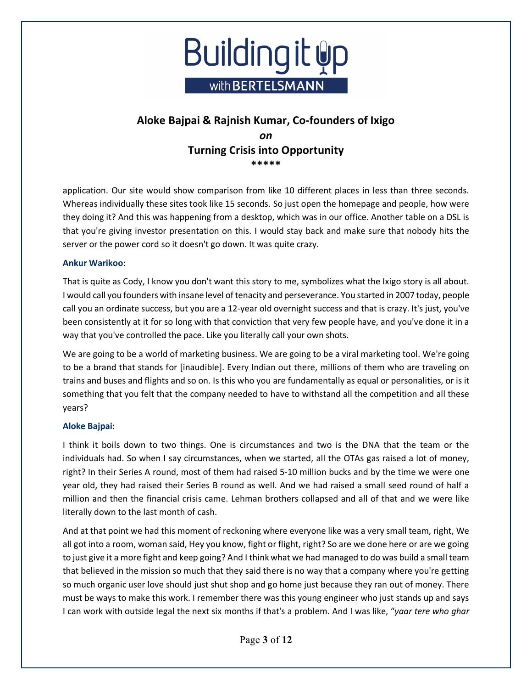

application. Our site would show comparison from like 10 different places in less than three seconds. Whereas individually these sites took like 15 seconds. So just open the homepage and people, how were they doing it? And this was happening from a desktop, which was in our office. Another table on a DSL is that you're giving investor presentation on this. I would stay back and make sure that nobody hits the server or the power cord so it doesn't go down. It was quite crazy.

### **Ankur Warikoo**:

That is quite as Cody, I know you don't want this story to me, symbolizes what the Ixigo story is all about. I would call you founders with insane level of tenacity and perseverance. You started in 2007 today, people call you an ordinate success, but you are a 12-year old overnight success and that is crazy. It's just, you've been consistently at it for so long with that conviction that very few people have, and you've done it in a way that you've controlled the pace. Like you literally call your own shots.

We are going to be a world of marketing business. We are going to be a viral marketing tool. We're going to be a brand that stands for [inaudible]. Every Indian out there, millions of them who are traveling on trains and buses and flights and so on. Is this who you are fundamentally as equal or personalities, or is it something that you felt that the company needed to have to withstand all the competition and all these years?

### **Aloke Bajpai**:

I think it boils down to two things. One is circumstances and two is the DNA that the team or the individuals had. So when I say circumstances, when we started, all the OTAs gas raised a lot of money, right? In their Series A round, most of them had raised 5-10 million bucks and by the time we were one year old, they had raised their Series B round as well. And we had raised a small seed round of half a million and then the financial crisis came. Lehman brothers collapsed and all of that and we were like literally down to the last month of cash.

And at that point we had this moment of reckoning where everyone like was a very small team, right, We all got into a room, woman said, Hey you know, fight or flight, right? So are we done here or are we going to just give it a more fight and keep going? And I think what we had managed to do was build a small team that believed in the mission so much that they said there is no way that a company where you're getting so much organic user love should just shut shop and go home just because they ran out of money. There must be ways to make this work. I remember there was this young engineer who just stands up and says I can work with outside legal the next six months if that's a problem. And I was like, "*yaar tere who ghar*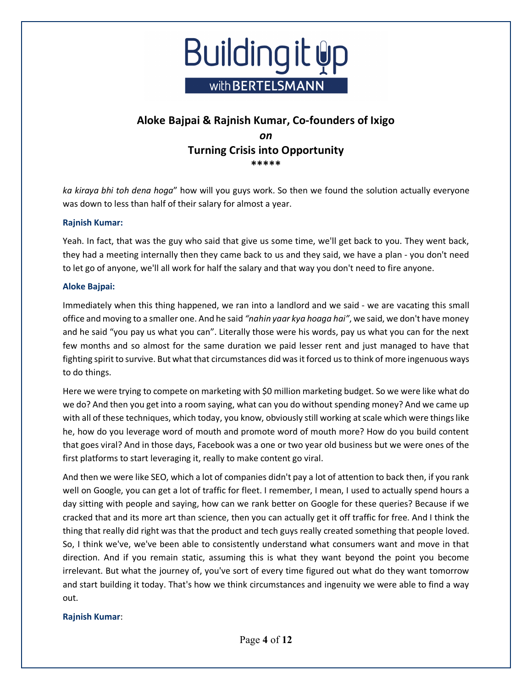

*ka kiraya bhi toh dena hoga*" how will you guys work. So then we found the solution actually everyone was down to less than half of their salary for almost a year.

### **Rajnish Kumar:**

Yeah. In fact, that was the guy who said that give us some time, we'll get back to you. They went back, they had a meeting internally then they came back to us and they said, we have a plan - you don't need to let go of anyone, we'll all work for half the salary and that way you don't need to fire anyone.

### **Aloke Bajpai:**

Immediately when this thing happened, we ran into a landlord and we said - we are vacating this small office and moving to a smaller one. And he said *"nahin yaar kya hoaga hai"*, we said, we don't have money and he said "you pay us what you can". Literally those were his words, pay us what you can for the next few months and so almost for the same duration we paid lesser rent and just managed to have that fighting spirit to survive. But what that circumstances did was it forced us to think of more ingenuous ways to do things.

Here we were trying to compete on marketing with \$0 million marketing budget. So we were like what do we do? And then you get into a room saying, what can you do without spending money? And we came up with all of these techniques, which today, you know, obviously still working at scale which were things like he, how do you leverage word of mouth and promote word of mouth more? How do you build content that goes viral? And in those days, Facebook was a one or two year old business but we were ones of the first platforms to start leveraging it, really to make content go viral.

And then we were like SEO, which a lot of companies didn't pay a lot of attention to back then, if you rank well on Google, you can get a lot of traffic for fleet. I remember, I mean, I used to actually spend hours a day sitting with people and saying, how can we rank better on Google for these queries? Because if we cracked that and its more art than science, then you can actually get it off traffic for free. And I think the thing that really did right was that the product and tech guys really created something that people loved. So, I think we've, we've been able to consistently understand what consumers want and move in that direction. And if you remain static, assuming this is what they want beyond the point you become irrelevant. But what the journey of, you've sort of every time figured out what do they want tomorrow and start building it today. That's how we think circumstances and ingenuity we were able to find a way out.

### **Rajnish Kumar**: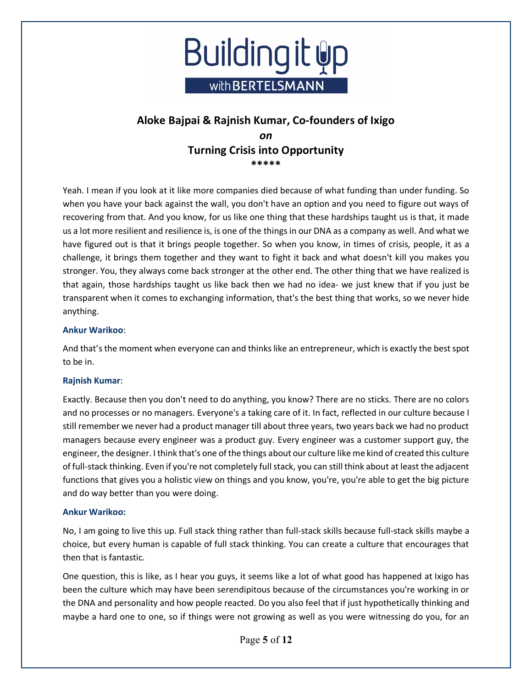

Yeah. I mean if you look at it like more companies died because of what funding than under funding. So when you have your back against the wall, you don't have an option and you need to figure out ways of recovering from that. And you know, for us like one thing that these hardships taught us is that, it made us a lot more resilient and resilience is, is one of the things in our DNA as a company as well. And what we have figured out is that it brings people together. So when you know, in times of crisis, people, it as a challenge, it brings them together and they want to fight it back and what doesn't kill you makes you stronger. You, they always come back stronger at the other end. The other thing that we have realized is that again, those hardships taught us like back then we had no idea- we just knew that if you just be transparent when it comes to exchanging information, that's the best thing that works, so we never hide anything.

### **Ankur Warikoo**:

And that's the moment when everyone can and thinks like an entrepreneur, which is exactly the best spot to be in.

#### **Rajnish Kumar**:

Exactly. Because then you don't need to do anything, you know? There are no sticks. There are no colors and no processes or no managers. Everyone's a taking care of it. In fact, reflected in our culture because I still remember we never had a product manager till about three years, two years back we had no product managers because every engineer was a product guy. Every engineer was a customer support guy, the engineer, the designer. I think that's one of the things about our culture like me kind of created this culture of full-stack thinking. Even if you're not completely full stack, you can still think about at least the adjacent functions that gives you a holistic view on things and you know, you're, you're able to get the big picture and do way better than you were doing.

#### **Ankur Warikoo:**

No, I am going to live this up. Full stack thing rather than full-stack skills because full-stack skills maybe a choice, but every human is capable of full stack thinking. You can create a culture that encourages that then that is fantastic.

One question, this is like, as I hear you guys, it seems like a lot of what good has happened at Ixigo has been the culture which may have been serendipitous because of the circumstances you're working in or the DNA and personality and how people reacted. Do you also feel that if just hypothetically thinking and maybe a hard one to one, so if things were not growing as well as you were witnessing do you, for an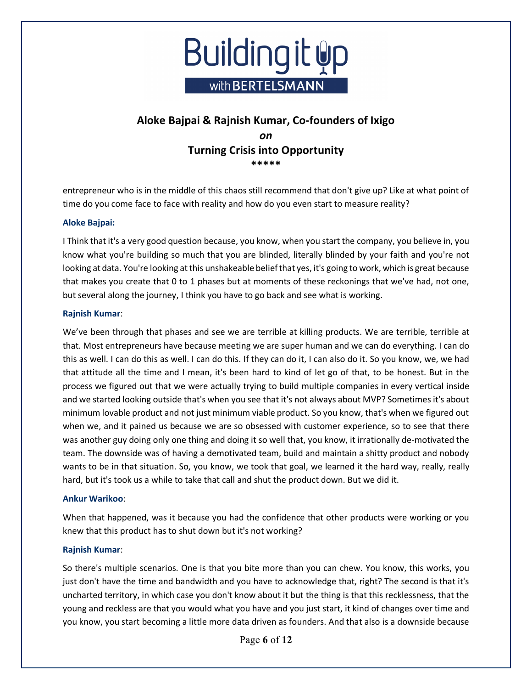

entrepreneur who is in the middle of this chaos still recommend that don't give up? Like at what point of time do you come face to face with reality and how do you even start to measure reality?

### **Aloke Bajpai:**

I Think that it's a very good question because, you know, when you start the company, you believe in, you know what you're building so much that you are blinded, literally blinded by your faith and you're not looking at data. You're looking at this unshakeable belief that yes, it's going to work, which is great because that makes you create that 0 to 1 phases but at moments of these reckonings that we've had, not one, but several along the journey, I think you have to go back and see what is working.

#### **Rajnish Kumar**:

We've been through that phases and see we are terrible at killing products. We are terrible, terrible at that. Most entrepreneurs have because meeting we are super human and we can do everything. I can do this as well. I can do this as well. I can do this. If they can do it, I can also do it. So you know, we, we had that attitude all the time and I mean, it's been hard to kind of let go of that, to be honest. But in the process we figured out that we were actually trying to build multiple companies in every vertical inside and we started looking outside that's when you see that it's not always about MVP? Sometimes it's about minimum lovable product and not just minimum viable product. So you know, that's when we figured out when we, and it pained us because we are so obsessed with customer experience, so to see that there was another guy doing only one thing and doing it so well that, you know, it irrationally de-motivated the team. The downside was of having a demotivated team, build and maintain a shitty product and nobody wants to be in that situation. So, you know, we took that goal, we learned it the hard way, really, really hard, but it's took us a while to take that call and shut the product down. But we did it.

#### **Ankur Warikoo**:

When that happened, was it because you had the confidence that other products were working or you knew that this product has to shut down but it's not working?

### **Rajnish Kumar**:

So there's multiple scenarios. One is that you bite more than you can chew. You know, this works, you just don't have the time and bandwidth and you have to acknowledge that, right? The second is that it's uncharted territory, in which case you don't know about it but the thing is that this recklessness, that the young and reckless are that you would what you have and you just start, it kind of changes over time and you know, you start becoming a little more data driven as founders. And that also is a downside because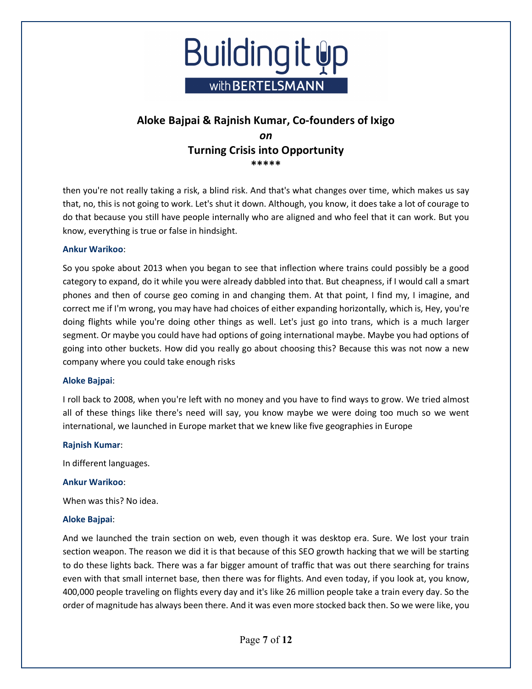

then you're not really taking a risk, a blind risk. And that's what changes over time, which makes us say that, no, this is not going to work. Let's shut it down. Although, you know, it does take a lot of courage to do that because you still have people internally who are aligned and who feel that it can work. But you know, everything is true or false in hindsight.

### **Ankur Warikoo**:

So you spoke about 2013 when you began to see that inflection where trains could possibly be a good category to expand, do it while you were already dabbled into that. But cheapness, if I would call a smart phones and then of course geo coming in and changing them. At that point, I find my, I imagine, and correct me if I'm wrong, you may have had choices of either expanding horizontally, which is, Hey, you're doing flights while you're doing other things as well. Let's just go into trans, which is a much larger segment. Or maybe you could have had options of going international maybe. Maybe you had options of going into other buckets. How did you really go about choosing this? Because this was not now a new company where you could take enough risks

### **Aloke Bajpai**:

I roll back to 2008, when you're left with no money and you have to find ways to grow. We tried almost all of these things like there's need will say, you know maybe we were doing too much so we went international, we launched in Europe market that we knew like five geographies in Europe

### **Rajnish Kumar**:

In different languages.

### **Ankur Warikoo**:

When was this? No idea.

### **Aloke Bajpai**:

And we launched the train section on web, even though it was desktop era. Sure. We lost your train section weapon. The reason we did it is that because of this SEO growth hacking that we will be starting to do these lights back. There was a far bigger amount of traffic that was out there searching for trains even with that small internet base, then there was for flights. And even today, if you look at, you know, 400,000 people traveling on flights every day and it's like 26 million people take a train every day. So the order of magnitude has always been there. And it was even more stocked back then. So we were like, you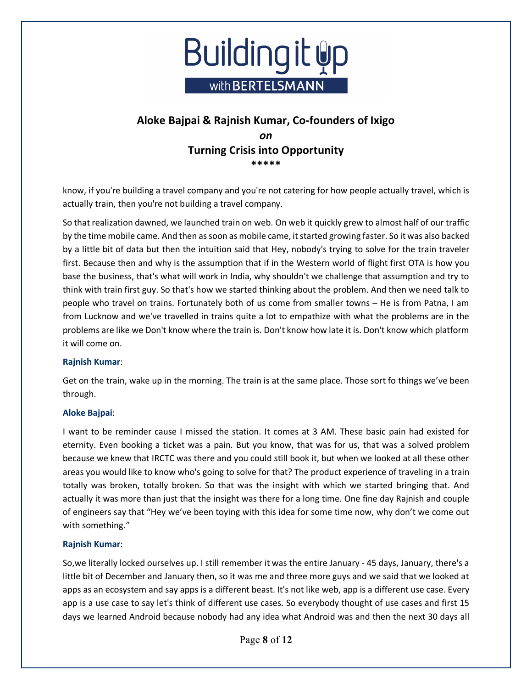

know, if you're building a travel company and you're not catering for how people actually travel, which is actually train, then you're not building a travel company.

So that realization dawned, we launched train on web. On web it quickly grew to almost half of our traffic by the time mobile came. And then as soon as mobile came, it started growing faster. So it was also backed by a little bit of data but then the intuition said that Hey, nobody's trying to solve for the train traveler first. Because then and why is the assumption that if in the Western world of flight first OTA is how you base the business, that's what will work in India, why shouldn't we challenge that assumption and try to think with train first guy. So that's how we started thinking about the problem. And then we need talk to people who travel on trains. Fortunately both of us come from smaller towns – He is from Patna, I am from Lucknow and we've travelled in trains quite a lot to empathize with what the problems are in the problems are like we Don't know where the train is. Don't know how late it is. Don't know which platform it will come on.

### **Rajnish Kumar**:

Get on the train, wake up in the morning. The train is at the same place. Those sort fo things we've been through.

#### **Aloke Bajpai**:

I want to be reminder cause I missed the station. It comes at 3 AM. These basic pain had existed for eternity. Even booking a ticket was a pain. But you know, that was for us, that was a solved problem because we knew that IRCTC was there and you could still book it, but when we looked at all these other areas you would like to know who's going to solve for that? The product experience of traveling in a train totally was broken, totally broken. So that was the insight with which we started bringing that. And actually it was more than just that the insight was there for a long time. One fine day Rajnish and couple of engineers say that "Hey we've been toying with this idea for some time now, why don't we come out with something."

### **Rajnish Kumar**:

So,we literally locked ourselves up. I still remember it was the entire January - 45 days, January, there's a little bit of December and January then, so it was me and three more guys and we said that we looked at apps as an ecosystem and say apps is a different beast. It's not like web, app is a different use case. Every app is a use case to say let's think of different use cases. So everybody thought of use cases and first 15 days we learned Android because nobody had any idea what Android was and then the next 30 days all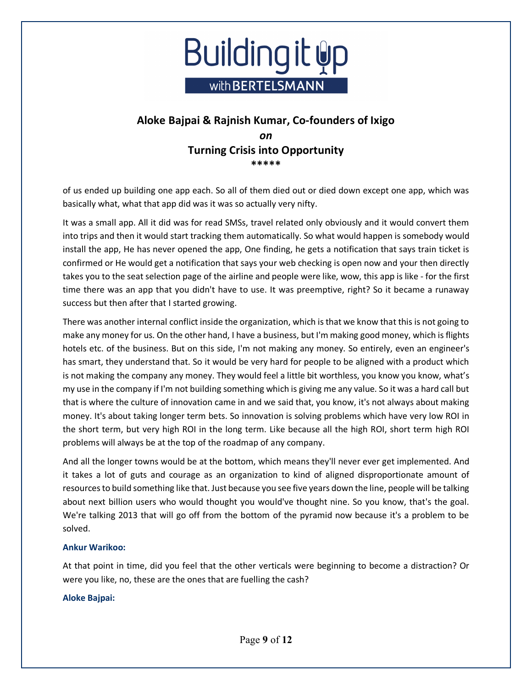

of us ended up building one app each. So all of them died out or died down except one app, which was basically what, what that app did was it was so actually very nifty.

It was a small app. All it did was for read SMSs, travel related only obviously and it would convert them into trips and then it would start tracking them automatically. So what would happen is somebody would install the app, He has never opened the app, One finding, he gets a notification that says train ticket is confirmed or He would get a notification that says your web checking is open now and your then directly takes you to the seat selection page of the airline and people were like, wow, this app is like - for the first time there was an app that you didn't have to use. It was preemptive, right? So it became a runaway success but then after that I started growing.

There was another internal conflict inside the organization, which is that we know that this is not going to make any money for us. On the other hand, I have a business, but I'm making good money, which is flights hotels etc. of the business. But on this side, I'm not making any money. So entirely, even an engineer's has smart, they understand that. So it would be very hard for people to be aligned with a product which is not making the company any money. They would feel a little bit worthless, you know you know, what's my use in the company if I'm not building something which is giving me any value. So it was a hard call but that is where the culture of innovation came in and we said that, you know, it's not always about making money. It's about taking longer term bets. So innovation is solving problems which have very low ROI in the short term, but very high ROI in the long term. Like because all the high ROI, short term high ROI problems will always be at the top of the roadmap of any company.

And all the longer towns would be at the bottom, which means they'll never ever get implemented. And it takes a lot of guts and courage as an organization to kind of aligned disproportionate amount of resources to build something like that. Just because you see five years down the line, people will be talking about next billion users who would thought you would've thought nine. So you know, that's the goal. We're talking 2013 that will go off from the bottom of the pyramid now because it's a problem to be solved.

### **Ankur Warikoo:**

At that point in time, did you feel that the other verticals were beginning to become a distraction? Or were you like, no, these are the ones that are fuelling the cash?

### **Aloke Bajpai:**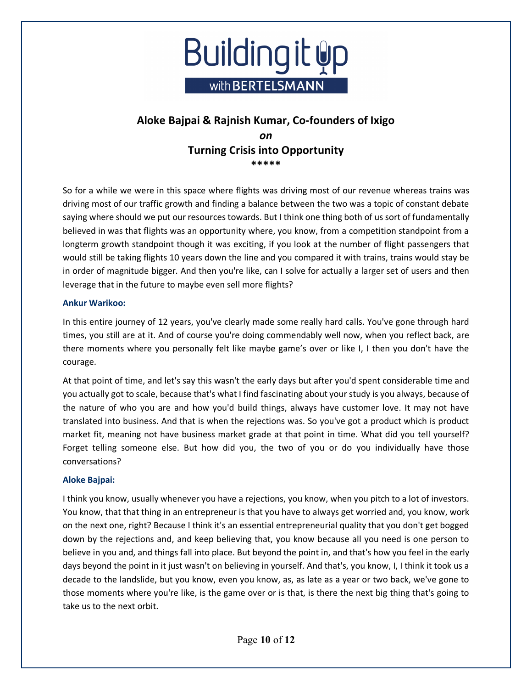

So for a while we were in this space where flights was driving most of our revenue whereas trains was driving most of our traffic growth and finding a balance between the two was a topic of constant debate saying where should we put our resources towards. But I think one thing both of us sort of fundamentally believed in was that flights was an opportunity where, you know, from a competition standpoint from a longterm growth standpoint though it was exciting, if you look at the number of flight passengers that would still be taking flights 10 years down the line and you compared it with trains, trains would stay be in order of magnitude bigger. And then you're like, can I solve for actually a larger set of users and then leverage that in the future to maybe even sell more flights?

### **Ankur Warikoo:**

In this entire journey of 12 years, you've clearly made some really hard calls. You've gone through hard times, you still are at it. And of course you're doing commendably well now, when you reflect back, are there moments where you personally felt like maybe game's over or like I, I then you don't have the courage.

At that point of time, and let's say this wasn't the early days but after you'd spent considerable time and you actually got to scale, because that's what I find fascinating about your study is you always, because of the nature of who you are and how you'd build things, always have customer love. It may not have translated into business. And that is when the rejections was. So you've got a product which is product market fit, meaning not have business market grade at that point in time. What did you tell yourself? Forget telling someone else. But how did you, the two of you or do you individually have those conversations?

### **Aloke Bajpai:**

I think you know, usually whenever you have a rejections, you know, when you pitch to a lot of investors. You know, that that thing in an entrepreneur is that you have to always get worried and, you know, work on the next one, right? Because I think it's an essential entrepreneurial quality that you don't get bogged down by the rejections and, and keep believing that, you know because all you need is one person to believe in you and, and things fall into place. But beyond the point in, and that's how you feel in the early days beyond the point in it just wasn't on believing in yourself. And that's, you know, I, I think it took us a decade to the landslide, but you know, even you know, as, as late as a year or two back, we've gone to those moments where you're like, is the game over or is that, is there the next big thing that's going to take us to the next orbit.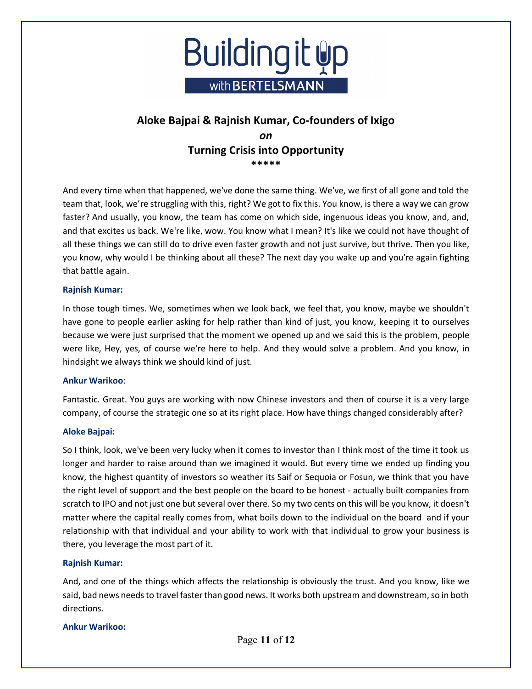

And every time when that happened, we've done the same thing. We've, we first of all gone and told the team that, look, we're struggling with this, right? We got to fix this. You know, is there a way we can grow faster? And usually, you know, the team has come on which side, ingenuous ideas you know, and, and, and that excites us back. We're like, wow. You know what I mean? It's like we could not have thought of all these things we can still do to drive even faster growth and not just survive, but thrive. Then you like, you know, why would I be thinking about all these? The next day you wake up and you're again fighting that battle again.

#### **Rajnish Kumar:**

In those tough times. We, sometimes when we look back, we feel that, you know, maybe we shouldn't have gone to people earlier asking for help rather than kind of just, you know, keeping it to ourselves because we were just surprised that the moment we opened up and we said this is the problem, people were like, Hey, yes, of course we're here to help. And they would solve a problem. And you know, in hindsight we always think we should kind of just.

#### **Ankur Warikoo**:

Fantastic. Great. You guys are working with now Chinese investors and then of course it is a very large company, of course the strategic one so at its right place. How have things changed considerably after?

### **Aloke Bajpai:**

So I think, look, we've been very lucky when it comes to investor than I think most of the time it took us longer and harder to raise around than we imagined it would. But every time we ended up finding you know, the highest quantity of investors so weather its Saif or Sequoia or Fosun, we think that you have the right level of support and the best people on the board to be honest - actually built companies from scratch to IPO and not just one but several over there. So my two cents on this will be you know, it doesn't matter where the capital really comes from, what boils down to the individual on the board and if your relationship with that individual and your ability to work with that individual to grow your business is there, you leverage the most part of it.

### **Rajnish Kumar:**

And, and one of the things which affects the relationship is obviously the trust. And you know, like we said, bad news needs to travel faster than good news. It works both upstream and downstream, so in both directions.

### **Ankur Warikoo:**